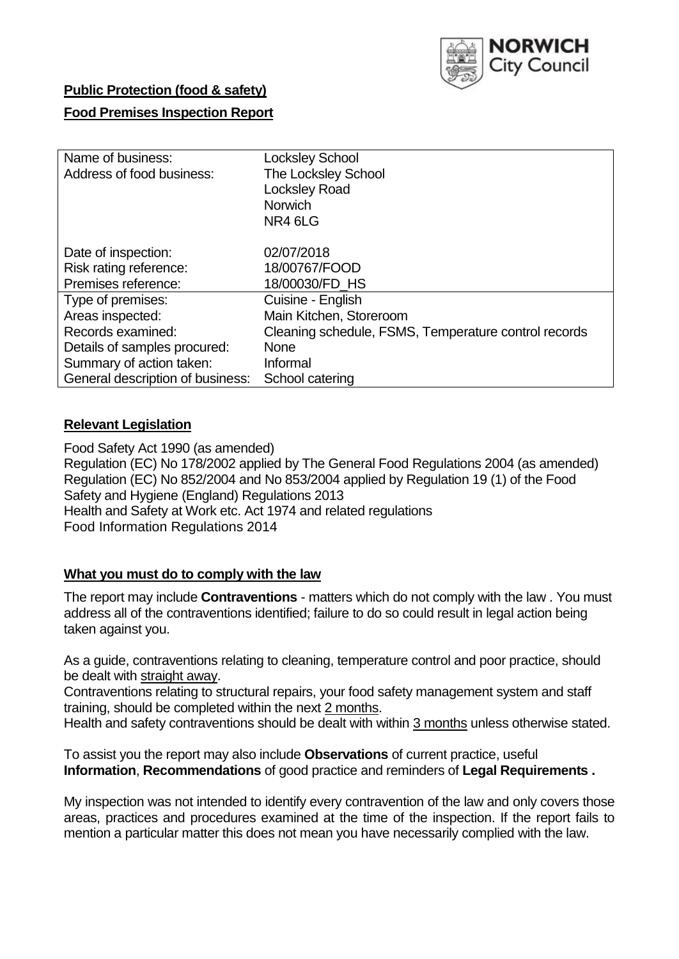

# **Public Protection (food & safety)**

### **Food Premises Inspection Report**

| Name of business:                | <b>Locksley School</b>                               |
|----------------------------------|------------------------------------------------------|
| Address of food business:        | <b>The Locksley School</b>                           |
|                                  | <b>Locksley Road</b>                                 |
|                                  | <b>Norwich</b>                                       |
|                                  | NR4 6LG                                              |
|                                  |                                                      |
| Date of inspection:              | 02/07/2018                                           |
| Risk rating reference:           | 18/00767/FOOD                                        |
| Premises reference:              | 18/00030/FD HS                                       |
| Type of premises:                | Cuisine - English                                    |
| Areas inspected:                 | Main Kitchen, Storeroom                              |
| Records examined:                | Cleaning schedule, FSMS, Temperature control records |
| Details of samples procured:     | <b>None</b>                                          |
| Summary of action taken:         | Informal                                             |
| General description of business: | School catering                                      |

### **Relevant Legislation**

Food Safety Act 1990 (as amended) Regulation (EC) No 178/2002 applied by The General Food Regulations 2004 (as amended) Regulation (EC) No 852/2004 and No 853/2004 applied by Regulation 19 (1) of the Food Safety and Hygiene (England) Regulations 2013 Health and Safety at Work etc. Act 1974 and related regulations Food Information Regulations 2014

# **What you must do to comply with the law**

The report may include **Contraventions** - matters which do not comply with the law . You must address all of the contraventions identified; failure to do so could result in legal action being taken against you.

As a guide, contraventions relating to cleaning, temperature control and poor practice, should be dealt with straight away.

Contraventions relating to structural repairs, your food safety management system and staff training, should be completed within the next 2 months.

Health and safety contraventions should be dealt with within 3 months unless otherwise stated.

To assist you the report may also include **Observations** of current practice, useful **Information**, **Recommendations** of good practice and reminders of **Legal Requirements .**

My inspection was not intended to identify every contravention of the law and only covers those areas, practices and procedures examined at the time of the inspection. If the report fails to mention a particular matter this does not mean you have necessarily complied with the law.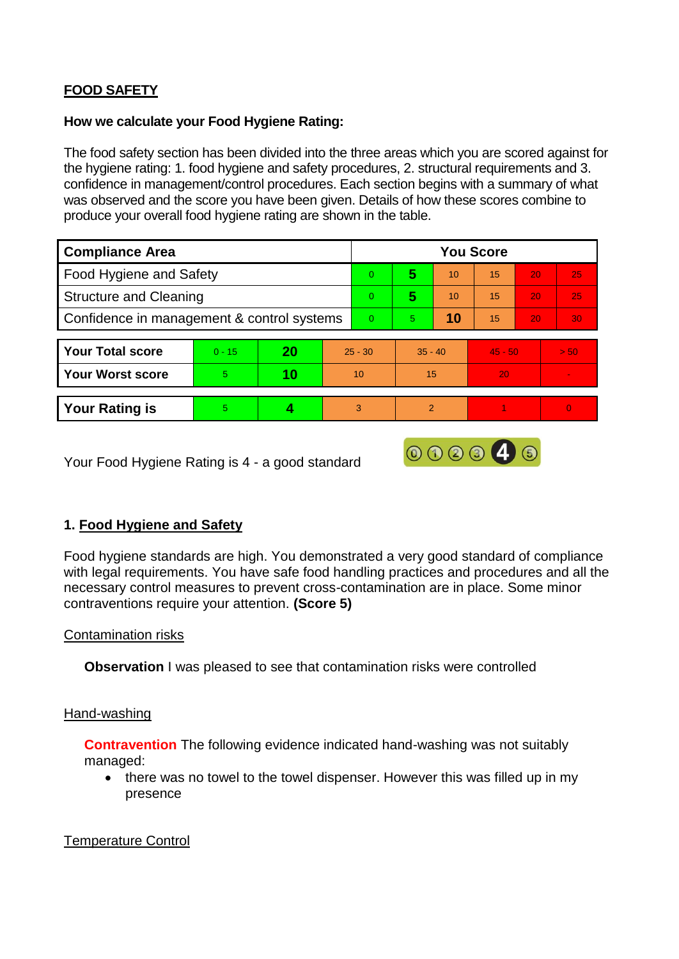# **FOOD SAFETY**

#### **How we calculate your Food Hygiene Rating:**

The food safety section has been divided into the three areas which you are scored against for the hygiene rating: 1. food hygiene and safety procedures, 2. structural requirements and 3. confidence in management/control procedures. Each section begins with a summary of what was observed and the score you have been given. Details of how these scores combine to produce your overall food hygiene rating are shown in the table.

| <b>Compliance Area</b>                     |          |    |           | <b>You Score</b> |                |    |           |    |      |  |  |
|--------------------------------------------|----------|----|-----------|------------------|----------------|----|-----------|----|------|--|--|
| Food Hygiene and Safety                    |          |    |           | 0                | 5              | 10 | 15        | 20 | 25   |  |  |
| <b>Structure and Cleaning</b>              |          |    |           | $\Omega$         | 5              | 10 | 15        | 20 | 25   |  |  |
| Confidence in management & control systems |          |    |           | $\Omega$         | 5              | 10 | 15        | 20 | 30   |  |  |
|                                            |          |    |           |                  |                |    |           |    |      |  |  |
| <b>Your Total score</b>                    | $0 - 15$ | 20 | $25 - 30$ |                  | $35 - 40$      |    | $45 - 50$ |    | > 50 |  |  |
| <b>Your Worst score</b>                    | 5        | 10 | 10        |                  | 15             |    | 20        |    |      |  |  |
|                                            |          |    |           |                  |                |    |           |    |      |  |  |
| <b>Your Rating is</b>                      | 5        |    | 3         |                  | $\overline{2}$ |    |           |    | 0    |  |  |

Your Food Hygiene Rating is 4 - a good standard

# **1. Food Hygiene and Safety**

Food hygiene standards are high. You demonstrated a very good standard of compliance with legal requirements. You have safe food handling practices and procedures and all the necessary control measures to prevent cross-contamination are in place. Some minor contraventions require your attention. **(Score 5)**

000046

#### Contamination risks

**Observation** I was pleased to see that contamination risks were controlled

#### Hand-washing

**Contravention** The following evidence indicated hand-washing was not suitably managed:

• there was no towel to the towel dispenser. However this was filled up in my presence

#### Temperature Control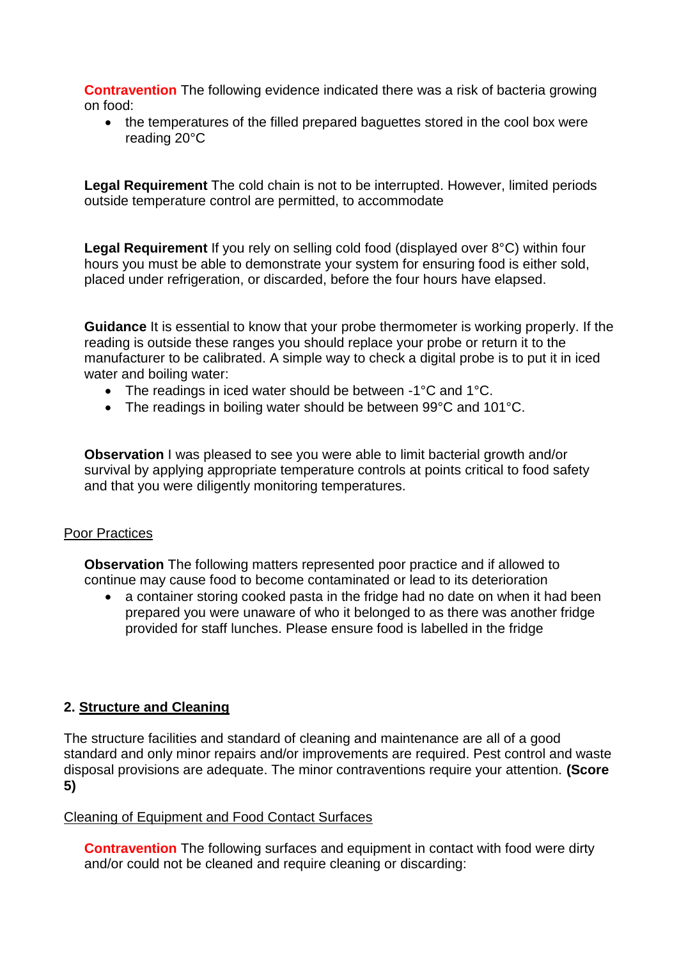**Contravention** The following evidence indicated there was a risk of bacteria growing on food:

• the temperatures of the filled prepared baguettes stored in the cool box were reading 20°C

**Legal Requirement** The cold chain is not to be interrupted. However, limited periods outside temperature control are permitted, to accommodate

**Legal Requirement** If you rely on selling cold food (displayed over 8°C) within four hours you must be able to demonstrate your system for ensuring food is either sold, placed under refrigeration, or discarded, before the four hours have elapsed.

**Guidance** It is essential to know that your probe thermometer is working properly. If the reading is outside these ranges you should replace your probe or return it to the manufacturer to be calibrated. A simple way to check a digital probe is to put it in iced water and boiling water:

- The readings in iced water should be between -1°C and 1°C.
- The readings in boiling water should be between 99°C and 101°C.

**Observation** I was pleased to see you were able to limit bacterial growth and/or survival by applying appropriate temperature controls at points critical to food safety and that you were diligently monitoring temperatures.

#### Poor Practices

**Observation** The following matters represented poor practice and if allowed to continue may cause food to become contaminated or lead to its deterioration

• a container storing cooked pasta in the fridge had no date on when it had been prepared you were unaware of who it belonged to as there was another fridge provided for staff lunches. Please ensure food is labelled in the fridge

# **2. Structure and Cleaning**

The structure facilities and standard of cleaning and maintenance are all of a good standard and only minor repairs and/or improvements are required. Pest control and waste disposal provisions are adequate. The minor contraventions require your attention. **(Score 5)**

#### Cleaning of Equipment and Food Contact Surfaces

**Contravention** The following surfaces and equipment in contact with food were dirty and/or could not be cleaned and require cleaning or discarding: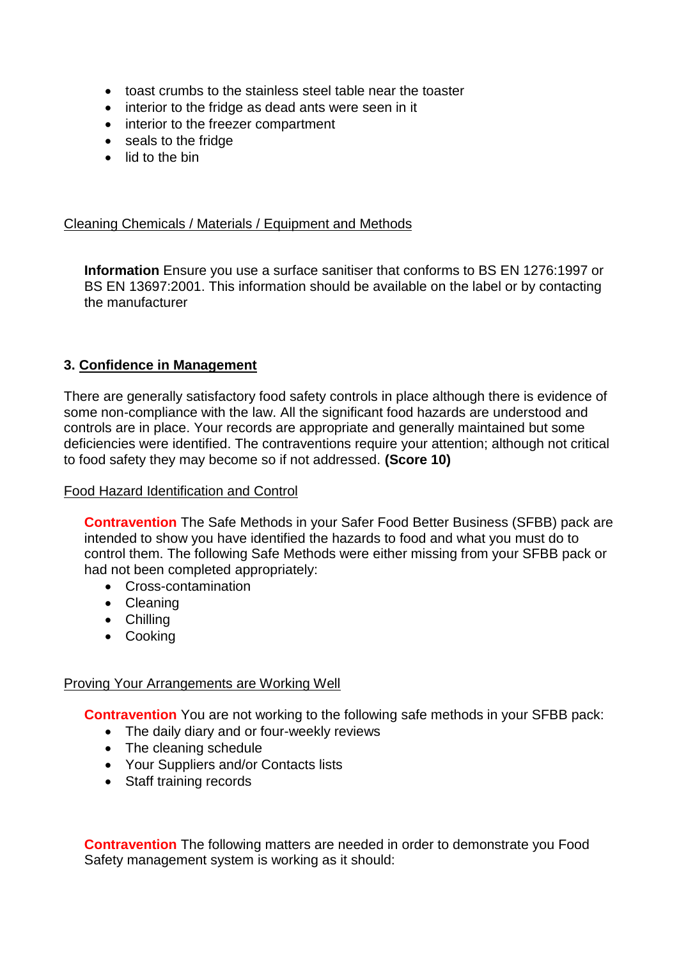- toast crumbs to the stainless steel table near the toaster
- interior to the fridge as dead ants were seen in it
- interior to the freezer compartment
- seals to the fridge
- lid to the bin

### Cleaning Chemicals / Materials / Equipment and Methods

**Information** Ensure you use a surface sanitiser that conforms to BS EN 1276:1997 or BS EN 13697:2001. This information should be available on the label or by contacting the manufacturer

### **3. Confidence in Management**

There are generally satisfactory food safety controls in place although there is evidence of some non-compliance with the law. All the significant food hazards are understood and controls are in place. Your records are appropriate and generally maintained but some deficiencies were identified. The contraventions require your attention; although not critical to food safety they may become so if not addressed. **(Score 10)**

#### Food Hazard Identification and Control

**Contravention** The Safe Methods in your Safer Food Better Business (SFBB) pack are intended to show you have identified the hazards to food and what you must do to control them. The following Safe Methods were either missing from your SFBB pack or had not been completed appropriately:

- Cross-contamination
- Cleaning
- Chilling
- Cooking

#### Proving Your Arrangements are Working Well

**Contravention** You are not working to the following safe methods in your SFBB pack:

- The daily diary and or four-weekly reviews
- The cleaning schedule
- Your Suppliers and/or Contacts lists
- Staff training records

**Contravention** The following matters are needed in order to demonstrate you Food Safety management system is working as it should: